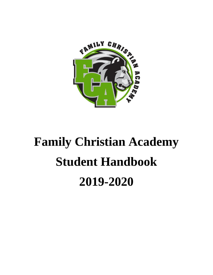

# **Family Christian Academy Student Handbook 2019-2020**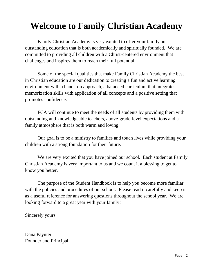# **Welcome to Family Christian Academy**

Family Christian Academy is very excited to offer your family an outstanding education that is both academically and spiritually founded. We are committed to providing all children with a Christ-centered environment that challenges and inspires them to reach their full potential.

Some of the special qualities that make Family Christian Academy the best in Christian education are our dedication to creating a fun and active learning environment with a hands-on approach, a balanced curriculum that integrates memorization skills with application of all concepts and a positive setting that promotes confidence.

FCA will continue to meet the needs of all students by providing them with outstanding and knowledgeable teachers, above-grade-level expectations and a family atmosphere that is both warm and loving.

Our goal is to be a ministry to families and touch lives while providing your children with a strong foundation for their future.

We are very excited that you have joined our school. Each student at Family Christian Academy is very important to us and we count it a blessing to get to know you better.

The purpose of the Student Handbook is to help you become more familiar with the policies and procedures of our school. Please read it carefully and keep it as a useful reference for answering questions throughout the school year. We are looking forward to a great year with your family!

Sincerely yours,

Dana Paynter Founder and Principal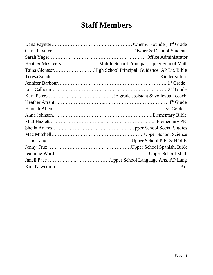# **Staff Members**

| Taina GlemserHigh School Principal, Guidance, AP Lit, Bible |
|-------------------------------------------------------------|
|                                                             |
|                                                             |
|                                                             |
|                                                             |
|                                                             |
|                                                             |
|                                                             |
|                                                             |
|                                                             |
|                                                             |
|                                                             |
|                                                             |
|                                                             |
|                                                             |
|                                                             |
|                                                             |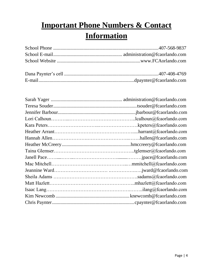# **Important Phone Numbers & Contact Information**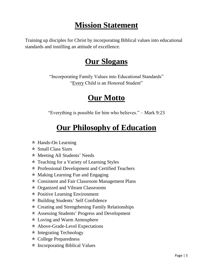# **Mission Statement**

Training up disciples for Christ by incorporating Biblical values into educational standards and instilling an attitude of excellence.

### **Our Slogans**

"Incorporating Family Values into Educational Standards" "Every Child is an Honored Student"

### **Our Motto**

"Everything is possible for him who believes." – Mark 9:23

# **Our Philosophy of Education**

- $*$  Hands-On Learning
- $\star$  Small Class Sizes
- Meeting All Students' Needs
- $*$  Teaching for a Variety of Learning Styles
- \* Professional Development and Certified Teachers
- $*$  Making Learning Fun and Engaging
- Consistent and Fair Classroom Management Plans
- Organized and Vibrant Classrooms
- \* Positive Learning Environment
- Building Students' Self Confidence
- $\star$  Creating and Strengthening Family Relationships
- Assessing Students' Progress and Development
- Loving and Warm Atmosphere
- \* Above-Grade-Level Expectations
- $*$  Integrating Technology
- College Preparedness
- $\ast$  Incorporating Biblical Values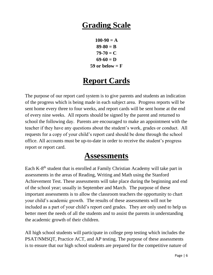### **Grading Scale**

 $100-90 = A$ **89-80 = B**  $79-70 = C$ **69-60 = D**  $59$  or below  $=$   $\bf{F}$ 

### **Report Cards**

The purpose of our report card system is to give parents and students an indication of the progress which is being made in each subject area. Progress reports will be sent home every three to four weeks, and report cards will be sent home at the end of every nine weeks. All reports should be signed by the parent and returned to school the following day. Parents are encouraged to make an appointment with the teacher if they have any questions about the student's work, grades or conduct. All requests for a copy of your child's report card should be done through the school office. All accounts must be up-to-date in order to receive the student's progress report or report card.

### **Assessments**

Each K-8<sup>th</sup> student that is enrolled at Family Christian Academy will take part in assessments in the areas of Reading, Writing and Math using the Stanford Achievement Test. These assessments will take place during the beginning and end of the school year; usually in September and March. The purpose of these important assessments is to allow the classroom teachers the opportunity to chart your child's academic growth. The results of these assessments will not be included as a part of your child's report card grades. They are only used to help us better meet the needs of all the students and to assist the parents in understanding the academic growth of their children.

All high school students will participate in college prep testing which includes the PSAT/NMSQT, Practice ACT, and AP testing. The purpose of these assessments is to ensure that our high school students are prepared for the competitive nature of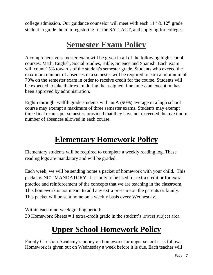college admission. Our guidance counselor will meet with each  $11<sup>th</sup>$  &  $12<sup>th</sup>$  grade student to guide them in registering for the SAT, ACT, and applying for colleges.

# **Semester Exam Policy**

A comprehensive semester exam will be given in all of the following high school courses: Math, English, Social Studies, Bible, Science and Spanish. Each exam will count 15% towards of the student's semester grade. Students who exceed the maximum number of absences in a semester will be required to earn a minimum of 70% on the semester exam in order to receive credit for the course. Students will be expected to take their exam during the assigned time unless an exception has been approved by administration.

Eighth through twelfth grade students with an A (90%) average in a high school course may exempt a maximum of three semester exams. Students may exempt three final exams per semester, provided that they have not exceeded the maximum number of absences allowed in each course.

### **Elementary Homework Policy**

Elementary students will be required to complete a weekly reading log. These reading logs are mandatory and will be graded.

Each week, we will be sending home a packet of homework with your child. This packet is NOT MANDATORY. It is only to be used for extra credit or for extra practice and reinforcement of the concepts that we are teaching in the classroom. This homework is not meant to add any extra pressure on the parents or family. This packet will be sent home on a weekly basis every Wednesday.

Within each nine-week grading period: 30 Homework Sheets = 1 extra-credit grade in the student's lowest subject area

# **Upper School Homework Policy**

Family Christian Academy's policy on homework for upper school is as follows: Homework is given out on Wednesday a week before it is due. Each teacher will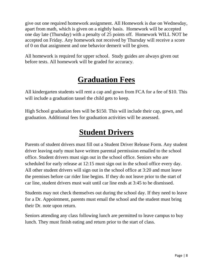give out one required homework assignment. All Homework is due on Wednesday, apart from math, which is given on a nightly basis. Homework will be accepted one day late (Thursday) with a penalty of 25 points off. Homework WILL NOT be accepted on Friday. Any homework not received by Thursday will receive a score of 0 on that assignment and one behavior demerit will be given.

All homework is required for upper school. Study guides are always given out before tests. All homework will be graded for accuracy.

# **Graduation Fees**

All kindergarten students will rent a cap and gown from FCA for a fee of \$10. This will include a graduation tassel the child gets to keep.

High School graduation fees will be \$150. This will include their cap, gown, and graduation. Additional fees for graduation activities will be assessed.

# **Student Drivers**

Parents of student drivers must fill out a Student Driver Release Form. Any student driver leaving early must have written parental permission emailed to the school office. Student drivers must sign out in the school office. Seniors who are scheduled for early release at 12:15 must sign out in the school office every day. All other student drivers will sign out in the school office at 3:20 and must leave the premises before car rider line begins. If they do not leave prior to the start of car line, student drivers must wait until car line ends at 3:45 to be dismissed.

Students may not check themselves out during the school day. If they need to leave for a Dr. Appointment, parents must email the school and the student must bring their Dr. note upon return.

Seniors attending any class following lunch are permitted to leave campus to buy lunch. They must finish eating and return prior to the start of class.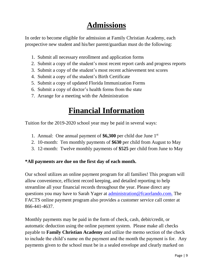# **Admissions**

In order to become eligible for admission at Family Christian Academy, each prospective new student and his/her parent/guardian must do the following:

- 1. Submit all necessary enrollment and application forms
- 2. Submit a copy of the student's most recent report cards and progress reports
- 3. Submit a copy of the student's most recent achievement test scores
- 4. Submit a copy of the student's Birth Certificate
- 5. Submit a copy of updated Florida Immunization Forms
- 6. Submit a copy of doctor's health forms from the state
- 7. Arrange for a meeting with the Administration

### **Financial Information**

Tuition for the 2019-2020 school year may be paid in several ways:

- 1. Annual: One annual payment of **\$6,300** per child due June 1 st
- 2. 10-month: Ten monthly payments of **\$630** per child from August to May
- 3. 12-month: Twelve monthly payments of **\$525** per child from June to May

#### **\*All payments are due on the first day of each month.**

Our school utilizes an online payment program for all families! This program will allow convenience, efficient record keeping, and detailed reporting to help streamline all your financial records throughout the year. Please direct any questions you may have to Sarah Yager at administration@fcaorlando.com. The FACTS online payment program also provides a customer service call center at 866-441-4637.

Monthly payments may be paid in the form of check, cash, debit/credit, or automatic deduction using the online payment system. Please make all checks payable to **Family Christian Academy** and utilize the memo section of the check to include the child's name on the payment and the month the payment is for. Any payments given to the school must be in a sealed envelope and clearly marked on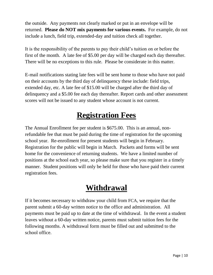the outside. Any payments not clearly marked or put in an envelope will be returned. **Please do NOT mix payments for various events.** For example, do not include a lunch, field trip, extended-day and tuition check all together.

It is the responsibility of the parents to pay their child's tuition on or before the first of the month. A late fee of \$5.00 per day will be charged each day thereafter. There will be no exceptions to this rule. Please be considerate in this matter.

E-mail notifications stating late fees will be sent home to those who have not paid on their accounts by the third day of delinquency these include: field trips, extended day, etc. A late fee of \$15.00 will be charged after the third day of delinquency and a \$5.00 fee each day thereafter. Report cards and other assessment scores will not be issued to any student whose account is not current.

# **Registration Fees**

The Annual Enrollment fee per student is \$675.00. This is an annual, nonrefundable fee that must be paid during the time of registration for the upcoming school year. Re-enrollment for present students will begin in February. Registration for the public will begin in March. Packets and forms will be sent home for the convenience of returning students. We have a limited number of positions at the school each year, so please make sure that you register in a timely manner. Student positions will only be held for those who have paid their current registration fees.

# **Withdrawal**

If it becomes necessary to withdraw your child from FCA, we require that the parent submit a 60-day written notice to the office and administration. All payments must be paid up to date at the time of withdrawal. In the event a student leaves without a 60-day written notice, parents must submit tuition fees for the following months. A withdrawal form must be filled out and submitted to the school office.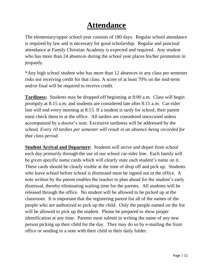### **Attendance**

The elementary/upper school year consists of 180 days. Regular school attendance is required by law and is necessary for good scholarship. Regular and punctual attendance at Family Christian Academy is expected and required. Any student who has more than 24 absences during the school year places his/her promotion in jeopardy.

\*Any high school student who has more than 12 absences in any class per semester risks not receiving credit for that class. A score of at least 70% on the mid-term and/or final will be required to receive credit.

**Tardiness:** Students may be dropped off beginning at 8:00 a.m. Class will begin promptly at 8:15 a.m. and students are considered late after 8:15 a.m. Car-rider line will end every morning at 8:15. If a student is tardy for school, their parent must check them in at the office. All tardies are considered unexcused unless accompanied by a doctor's note. Excessive tardiness will be addressed by the school. *Every 10 tardies per semester will result in an absence being recorded for that class period.*

**Student Arrival and Departure:** Students will arrive and depart from school each day primarily through the use of our school car-rider line. Each family will be given specific name cards which will clearly state each student's name on it. These cards should be clearly visible at the time of drop off and pick up. Students who leave school before school is dismissed must be signed out in the office. A note written by the parent enables the teacher to plan ahead for the student's early dismissal, thereby eliminating waiting time for the parents. All students will be released through the office. No student will be allowed to be picked up at the classroom. It is important that the registering parent list all of the names of the people who are authorized to pick up the child. Only the people named on the list will be allowed to pick up the student. Please be prepared to show proper identification at any time. Parents must submit in writing the name of any new person picking up their child for the day. They may do so by e-mailing the front office or sending in a note with their child in their daily folder.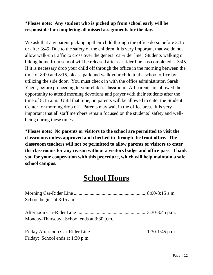#### **\*Please note: Any student who is picked up from school early will be responsible for completing all missed assignments for the day.**

We ask that any parent picking up their child through the office do so before 3:15 or after 3:45. Due to the safety of the children, it is very important that we do not allow walk-up traffic to cross over the general car-rider line. Students walking or biking home from school will be released after car rider line has completed at 3:45. If it is necessary drop your child off through the office in the morning between the time of 8:00 and 8:15, please park and walk your child to the school office by utilizing the side door. You must check in with the office administrator, Sarah Yager, before proceeding to your child's classroom. All parents are allowed the opportunity to attend morning devotions and prayer with their students after the time of 8:15 a.m. Until that time, no parents will be allowed to enter the Student Center for morning drop off. Parents may wait in the office area. It is very important that all staff members remain focused on the students' safety and wellbeing during these times.

**\*Please note: No parents or visitors to the school are permitted to visit the classrooms unless approved and checked in through the front office. The classroom teachers will not be permitted to allow parents or visitors to enter the classrooms for any reason without a visitors badge and office pass. Thank you for your cooperation with this procedure, which will help maintain a safe school campus.**

### **School Hours**

| School begins at 8:15 a.m.                |  |
|-------------------------------------------|--|
|                                           |  |
|                                           |  |
| Monday-Thursday: School ends at 3:30 p.m. |  |
|                                           |  |
| Friday: School ends at 1:30 p.m.          |  |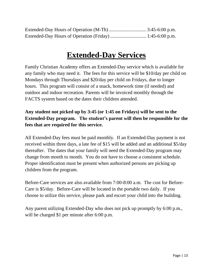### **Extended-Day Services**

Family Christian Academy offers an Extended-Day service which is available for any family who may need it. The fees for this service will be \$10/day per child on Mondays through Thursdays and \$20/day per child on Fridays, due to longer hours. This program will consist of a snack, homework time (if needed) and outdoor and indoor recreation. Parents will be invoiced monthly through the FACTS system based on the dates their children attended.

#### **Any student not picked up by 3:45 (or 1:45 on Fridays) will be sent to the Extended-Day program. The student's parent will then be responsible for the fees that are required for this service.**

All Extended-Day fees must be paid monthly. If an Extended-Day payment is not received within three days, a late fee of \$15 will be added and an additional \$5/day thereafter. The dates that your family will need the Extended-Day program may change from month to month. You do not have to choose a consistent schedule. Proper identification must be present when authorized persons are picking up children from the program.

Before-Care services are also available from 7:00-8:00 a.m. The cost for Before-Care is \$5/day. Before-Care will be located in the portable two daily. If you choose to utilize this service, please park and escort your child into the building.

Any parent utilizing Extended-Day who does not pick up promptly by 6:00 p.m., will be charged \$1 per minute after 6:00 p.m.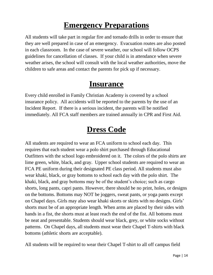### **Emergency Preparations**

All students will take part in regular fire and tornado drills in order to ensure that they are well prepared in case of an emergency. Evacuation routes are also posted in each classroom. In the case of severe weather, our school will follow OCPS guidelines for cancellation of classes. If your child is in attendance when severe weather arises, the school will consult with the local weather authorities, move the children to safe areas and contact the parents for pick up if necessary.

### **Insurance**

Every child enrolled in Family Christian Academy is covered by a school insurance policy. All accidents will be reported to the parents by the use of an Incident Report. If there is a serious incident, the parents will be notified immediately. All FCA staff members are trained annually in CPR and First Aid.

### **Dress Code**

All students are required to wear an FCA uniform to school each day. This requires that each student wear a polo shirt purchased through Educational Outfitters with the school logo embroidered on it. The colors of the polo shirts are lime green, white, black, and gray. Upper school students are required to wear an FCA PE uniform during their designated PE class period. All students must also wear khaki, black, or gray bottoms to school each day with the polo shirt. The khaki, black, and gray bottoms may be of the student's choice; such as cargo shorts, long pants, capri pants. However, there should be no print, holes, or designs on the bottoms. Bottoms may NOT be joggers, sweat pants, or yoga pants except on Chapel days. Girls may also wear khaki skorts or skirts with no designs. Girls' shorts must be of an appropriate length. When arms are placed by their sides with hands in a fist, the shorts must at least reach the end of the fist. All bottoms must be neat and presentable. Students should wear black, grey, or white socks without patterns. On Chapel days, all students must wear their Chapel T-shirts with black bottoms (athletic shorts are acceptable).

All students will be required to wear their Chapel T-shirt to all off campus field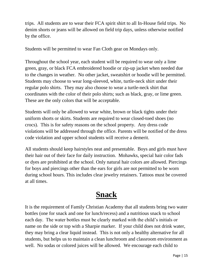trips. All students are to wear their FCA spirit shirt to all In-House field trips. No denim shorts or jeans will be allowed on field trip days, unless otherwise notified by the office.

Students will be permitted to wear Fan Cloth gear on Mondays only.

Throughout the school year, each student will be required to wear only a lime green, gray, or black FCA embroidered hoodie or zip-up jacket when needed due to the changes in weather. No other jacket, sweatshirt or hoodie will be permitted. Students may choose to wear long-sleeved, white, turtle-neck shirt under their regular polo shirts. They may also choose to wear a turtle-neck shirt that coordinates with the color of their polo shirts; such as black, gray, or lime green. These are the only colors that will be acceptable.

Students will only be allowed to wear white, brown or black tights under their uniform shorts or skirts. Students are required to wear closed-toed shoes (no crocs). This is for safety reasons on the school property. Any dress code violations will be addressed through the office. Parents will be notified of the dress code violation and upper school students will receive a demerit.

All students should keep hairstyles neat and presentable. Boys and girls must have their hair out of their face for daily instruction. Mohawks, special hair color fads or dyes are prohibited at the school. Only natural hair colors are allowed. Piercings for boys and piercings other than the ears for girls are not permitted to be worn during school hours. This includes clear jewelry retainers. Tattoos must be covered at all times.

# **Snack**

It is the requirement of Family Christian Academy that all students bring two water bottles (one for snack and one for lunch/recess) and a nutritious snack to school each day. The water bottles must be clearly marked with the child's initials or name on the side or top with a Sharpie marker. If your child does not drink water, they may bring a clear liquid instead. This is not only a healthy alternative for all students, but helps us to maintain a clean lunchroom and classroom environment as well. No sodas or colored juices will be allowed. We encourage each child to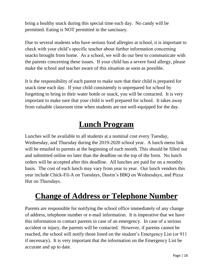bring a healthy snack during this special time each day. No candy will be permitted. Eating is NOT permitted in the sanctuary.

Due to several students who have serious food allergies at school, it is important to check with your child's specific teacher about further information concerning snacks brought from home. As a school, we will do our best to communicate with the parents concerning these issues. If your child has a severe food allergy, please make the school and teacher aware of this situation as soon as possible.

It is the responsibility of each parent to make sure that their child is prepared for snack time each day. If your child consistently is unprepared for school by forgetting to bring in their water bottle or snack, you will be contacted. It is very important to make sure that your child is well prepared for school. It takes away from valuable classroom time when students are not well-equipped for the day.

### **Lunch Program**

Lunches will be available to all students at a nominal cost every Tuesday, Wednesday, and Thursday during the 2019-2020 school year. A lunch menu link will be emailed to parents at the beginning of each month. This should be filled out and submitted online no later than the deadline on the top of the form. No lunch orders will be accepted after this deadline. All lunches are paid for on a monthly basis. The cost of each lunch may vary from year to year. Our lunch vendors this year include Chick-Fil-A on Tuesdays, Dustin's BBQ on Wednesdays, and Pizza Hut on Thursdays.

# **Change of Address or Telephone Number**

Parents are responsible for notifying the school office immediately of any change of address, telephone number or e-mail information. It is imperative that we have this information to contact parents in case of an emergency. In case of a serious accident or injury, the parents will be contacted. However, if parents cannot be reached, the school will notify those listed on the student's Emergency List (or 911 if necessary). It is very important that the information on the Emergency List be accurate and up to date.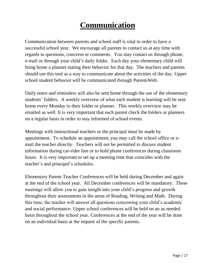# **Communication**

Communication between parents and school staff is vital in order to have a successful school year. We encourage all parents to contact us at any time with regards to questions, concerns or comments. You may contact us through phone, e-mail or through your child's daily folder. Each day your elementary child will bring home a planner stating their behavior for that day. The teachers and parents should use this tool as a way to communicate about the activities of the day. Upper school student behavior will be communicated through ParentsWeb.

Daily notes and reminders will also be sent home through the use of the elementary students' folders. A weekly overview of what each student is learning will be sent home every Monday in their folder or planner. This weekly overview may be emailed as well. It is very important that each parent check the folders or planners on a regular basis in order to stay informed of school events.

Meetings with instructional teachers or the principal must be made by appointment. To schedule an appointment, you may call the school office or email the teacher directly. Teachers will not be permitted to discuss student information during car-rider line or to hold phone conferences during classroom hours. It is very important to set up a meeting time that coincides with the teacher's and principal's schedules.

Elementary Parent-Teacher Conferences will be held during December and again at the end of the school year. All December conferences will be mandatory. These meetings will allow you to gain insight into your child's progress and growth throughout their assessments in the areas of Reading, Writing and Math. During this time, the teacher will answer all questions concerning your child's academic and social performance. Upper school conferences will be held on an as-needed basis throughout the school year. Conferences at the end of the year will be done on an individual basis at the request of the specific parents.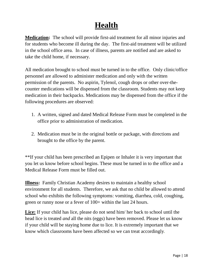# **Health**

**Medication:** The school will provide first-aid treatment for all minor injuries and for students who become ill during the day. The first-aid treatment will be utilized in the school office area. In case of illness, parents are notified and are asked to take the child home, if necessary.

All medication brought to school must be turned in to the office. Only clinic/office personnel are allowed to administer medication and only with the written permission of the parents. No aspirin, Tylenol, cough drops or other over-thecounter medications will be dispensed from the classroom. Students may not keep medication in their backpacks. Medications may be dispensed from the office if the following procedures are observed:

- 1. A written, signed and dated Medical Release Form must be completed in the office prior to administration of medication.
- 2. Medication must be in the original bottle or package, with directions and brought to the office by the parent.

\*\*If your child has been prescribed an Epipen or Inhaler it is very important that you let us know before school begins. These must be turned in to the office and a Medical Release Form must be filled out.

**Illness:** Family Christian Academy desires to maintain a healthy school environment for all students. Therefore, we ask that no child be allowed to attend school who exhibits the following symptoms: vomiting, diarrhea, cold, coughing, green or runny nose or a fever of 100+ within the last 24 hours.

**Lice:** If your child has lice, please do not send him/ her back to school until the head lice is treated *and* all the nits (eggs) have been removed. Please let us know if your child will be staying home due to lice. It is extremely important that we know which classrooms have been affected so we can treat accordingly**.**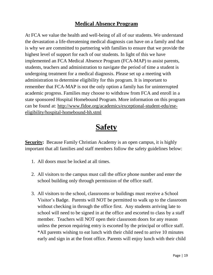#### **Medical Absence Program**

At FCA we value the health and well-being of all of our students. We understand the devastation a life-threatening medical diagnosis can have on a family and that is why we are committed to partnering with families to ensure that we provide the highest level of support for each of our students. In light of this we have implemented an FCA Medical Absence Program (FCA-MAP) to assist parents, students, teachers and administration to navigate the period of time a student is undergoing treatment for a medical diagnosis. Please set up a meeting with administration to determine eligibility for this program. It is important to remember that FCA-MAP is not the only option a family has for uninterrupted academic progress. Families may choose to withdraw from FCA and enroll in a state sponsored Hospital Homebound Program. More information on this program can be found at: http://www.fldoe.org/academics/exceptional-student-edu/eseeligibility/hospital-homebound-hh.stml

### **Safety**

**Security:** Because Family Christian Academy is an open campus, it is highly important that all families and staff members follow the safety guidelines below:

- 1. All doors must be locked at all times.
- 2. All visitors to the campus must call the office phone number and enter the school building only through permission of the office staff.
- 3. All visitors to the school, classrooms or buildings must receive a School Visitor's Badge. Parents will NOT be permitted to walk up to the classroom without checking in through the office first. Any students arriving late to school will need to be signed in at the office and escorted to class by a staff member. Teachers will NOT open their classroom doors for any reason unless the person requiring entry is escorted by the principal or office staff. \*All parents wishing to eat lunch with their child need to arrive 10 minutes early and sign in at the front office. Parents will enjoy lunch with their child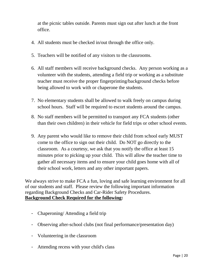at the picnic tables outside. Parents must sign out after lunch at the front office.

- 4. All students must be checked in/out through the office only.
- 5. Teachers will be notified of any visitors to the classrooms.
- 6. All staff members will receive background checks. Any person working as a volunteer with the students, attending a field trip or working as a substitute teacher must receive the proper fingerprinting/background checks before being allowed to work with or chaperone the students.
- 7. No elementary students shall be allowed to walk freely on campus during school hours. Staff will be required to escort students around the campus.
- 8. No staff members will be permitted to transport any FCA students (other than their own children) in their vehicle for field trips or other school events.
- 9. Any parent who would like to remove their child from school early MUST come to the office to sign out their child. Do NOT go directly to the classroom. As a courtesy, we ask that you notify the office at least 15 minutes prior to picking up your child. This will allow the teacher time to gather all necessary items and to ensure your child goes home with all of their school work, letters and any other important papers.

We always strive to make FCA a fun, loving and safe learning environment for all of our students and staff. Please review the following important information regarding Background Checks and Car-Rider Safety Procedures. **Background Check Required for the following:**

- Chaperoning/ Attending a field trip
- Observing after-school clubs (not final performance/presentation day)
- Volunteering in the classroom
- Attending recess with your child's class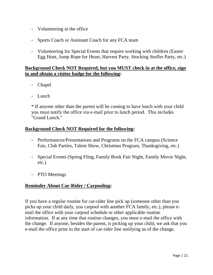- Volunteering in the office
- Sports Coach or Assistant Coach for any FCA team
- Volunteering for Special Events that require working with children (Easter Egg Hunt, Jump Rope for Heart, Harvest Party, Stocking Stuffer Party, etc.)

#### **Background Check NOT Required, but you MUST check in at the office, sign in and obtain a visitor badge for the following:**

- Chapel
- Lunch

\* If anyone other than the parent will be coming to have lunch with your child you must notify the office via e-mail prior to lunch period. This includes "Grand Lunch."

#### **Background Check NOT Required for the following:**

- Performances/Presentations and Programs on the FCA campus (Science Fair, Club Parties, Talent Show, Christmas Program, Thanksgiving, etc.)
- Special Events (Spring Fling, Family Book Fair Night, Family Movie Night, etc.)
- PTO Meetings

#### **Reminder About Car-Rider / Carpooling:**

If you have a regular routine for car-rider line pick up (someone other than you picks up your child daily, you carpool with another FCA family, etc.), please email the office with your carpool schedule or other applicable routine information. If at any time that routine changes, you must e-mail the office with the change. If anyone, besides the parent, is picking up your child, we ask that you e-mail the office prior to the start of car-rider line notifying us of the change.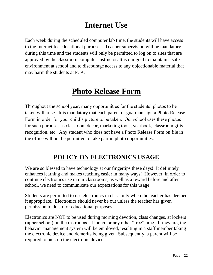### **Internet Use**

Each week during the scheduled computer lab time, the students will have access to the Internet for educational purposes. Teacher supervision will be mandatory during this time and the students will only be permitted to log on to sites that are approved by the classroom computer instructor. It is our goal to maintain a safe environment at school and to discourage access to any objectionable material that may harm the students at FCA.

### **Photo Release Form**

Throughout the school year, many opportunities for the students' photos to be taken will arise. It is mandatory that each parent or guardian sign a Photo Release Form in order for your child's picture to be taken. Our school uses these photos for such purposes as classroom decor, marketing tools, yearbook, classroom gifts, recognition, etc. Any student who does not have a Photo Release Form on file in the office will not be permitted to take part in photo opportunities.

### **POLICY ON ELECTRONICS USAGE**

We are so blessed to have technology at our fingertips these days! It definitely enhances learning and makes teaching easier in many ways! However, in order to continue electronics use in our classrooms, as well as a reward before and after school, we need to communicate our expectations for this usage.

Students are permitted to use electronics in class only when the teacher has deemed it appropriate. Electronics should never be out unless the teacher has given permission to do so for educational purposes.

Electronics are NOT to be used during morning devotion, class changes, at lockers (upper school), in the restrooms, at lunch, or any other "free" time. If they are, the behavior management system will be employed, resulting in a staff member taking the electronic device and demerits being given. Subsequently, a parent will be required to pick up the electronic device.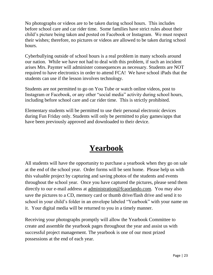No photographs or videos are to be taken during school hours. This includes before school care and car rider time. Some families have strict rules about their child's picture being taken and posted on Facebook or Instagram. We must respect their wishes; therefore, no pictures or videos are allowed to be taken during school hours.

Cyberbullying outside of school hours is a real problem in many schools around our nation. While we have not had to deal with this problem, if such an incident arises Mrs. Paynter will administer consequences as necessary. Students are NOT required to have electronics in order to attend FCA! We have school iPads that the students can use if the lesson involves technology.

Students are not permitted to go on You Tube or watch online videos, post to Instagram or Facebook, or any other "social media" activity during school hours, including before school care and car rider time. This is strictly prohibited.

Elementary students will be permitted to use their personal electronic devices during Fun Friday only. Students will only be permitted to play games/apps that have been previously approved and downloaded to their device.

### **Yearbook**

All students will have the opportunity to purchase a yearbook when they go on sale at the end of the school year. Order forms will be sent home. Please help us with this valuable project by capturing and saving photos of the students and events throughout the school year. Once you have captured the pictures, please send them directly to our e-mail address at [administration@fcaorlando.com.](mailto:administration@fcaorlando.com) You may also save the pictures to a CD, memory card or thumb drive/flash drive and send it to school in your child's folder in an envelope labeled "Yearbook" with your name on it. Your digital media will be returned to you in a timely manner.

Receiving your photographs promptly will allow the Yearbook Committee to create and assemble the yearbook pages throughout the year and assist us with successful project management. The yearbook is one of our most prized possessions at the end of each year.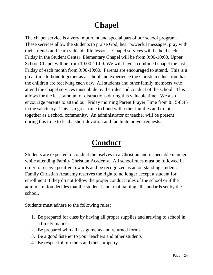# **Chapel**

The chapel service is a very important and special part of our school program. These services allow the students to praise God, hear powerful messages, pray with their friends and learn valuable life lessons. Chapel services will be held each Friday in the Student Center. Elementary Chapel will be from 9:00-10:00. Upper School Chapel will be from 10:00-11:00. We will have a combined chapel the last Friday of each month from 9:00-10:00. Parents are encouraged to attend. This is a great time to bond together as a school and experience the Christian education that the children are receiving each day. All students and other family members who attend the chapel services must abide by the rules and conduct of the school. This allows for the least amount of distractions during this valuable time. We also encourage parents to attend our Friday morning Parent Prayer Time from 8:15-8:45 in the sanctuary. This is a great time to bond with other families and to join together as a school community. An administrator or teacher will be present during this time to lead a short devotion and facilitate prayer requests.

### **Conduct**

Students are expected to conduct themselves in a Christian and respectable manner while attending Family Christian Academy. All school rules must be followed in order to receive positive rewards and be recognized as an outstanding student. Family Christian Academy reserves the right to no longer accept a student for enrollment if they do not follow the proper conduct rules of the school or if the administration decides that the student is not maintaining all standards set by the school.

Students must adhere to the following rules:

- 1. Be prepared for class by having all proper supplies and arriving to school in a timely manner
- 2. Be prepared with all assignments and returned forms
- 3. Be a good listener to your teachers and other students
- 4. Be respectful of others and their property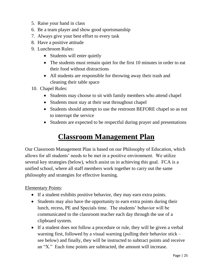- 5. Raise your hand in class
- 6. Be a team player and show good sportsmanship
- 7. Always give your best effort to every task
- 8. Have a positive attitude
- 9. Lunchroom Rules:
	- Students will enter quietly
	- The students must remain quiet for the first 10 minutes in order to eat their food without distractions
	- All students are responsible for throwing away their trash and cleaning their table space
- 10. Chapel Rules:
	- Students may choose to sit with family members who attend chapel
	- Students must stay at their seat throughout chapel
	- Students should attempt to use the restroom BEFORE chapel so as not to interrupt the service
	- Students are expected to be respectful during prayer and presentations

### **Classroom Management Plan**

Our Classroom Management Plan is based on our Philosophy of Education, which allows for all students' needs to be met in a positive environment. We utilize several key strategies (below), which assist us in achieving this goal. FCA is a unified school, where all staff members work together to carry out the same philosophy and strategies for effective learning.

Elementary Points:

- If a student exhibits positive behavior, they may earn extra points.
- Students may also have the opportunity to earn extra points during their lunch, recess, PE and Specials time. The students' behavior will be communicated to the classroom teacher each day through the use of a clipboard system.
- If a student does not follow a procedure or rule, they will be given a verbal warning first, followed by a visual warning (pulling their behavior stick – see below) and finally, they will be instructed to subtract points and receive an "X." Each time points are subtracted, the amount will increase.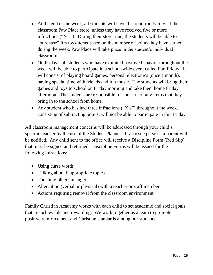- At the end of the week, all students will have the opportunity to visit the classroom Paw Place store, unless they have received five or more infractions (" $X$ 's"). During their store time, the students will be able to "purchase" fun toys/items based on the number of points they have earned during the week. Paw Place will take place in the student's individual classroom.
- On Fridays, all students who have exhibited positive behavior throughout the week will be able to participate in a school-wide event called Fun Friday. It will consist of playing board games, personal electronics (once a month), having special time with friends and fun music. The students will bring their games and toys to school on Friday morning and take them home Friday afternoon. The students are responsible for the care of any items that they bring in to the school from home.
- Any student who has had three infractions  $("X's")$  throughout the week, consisting of subtracting points, will not be able to participate in Fun Friday.

All classroom management concerns will be addressed through your child's specific teacher by the use of the Student Planner. If an issue persists, a parent will be notified. Any child sent to the office will receive a Discipline Form (Red Slip) that must be signed and returned. Discipline Forms will be issued for the following infractions:

- Using curse words
- Talking about inappropriate topics
- Touching others in anger
- Altercation (verbal or physical) with a teacher or staff member
- Actions requiring removal from the classroom environment

Family Christian Academy works with each child to set academic and social goals that are achievable and rewarding. We work together as a team to promote positive reinforcement and Christian standards among our students.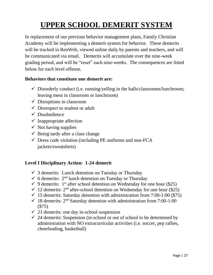# **UPPER SCHOOL DEMERIT SYSTEM**

In replacement of our previous behavior management plans, Family Christian Academy will be implementing a demerit system for behavior. These demerits will be tracked in RenWeb, viewed online daily by parents and teachers, and will be communicated via email. Demerits will accumulate over the nine-week grading period, and will be "reset" each nine-weeks. The consequences are listed below for each level offense.

#### **Behaviors that constitute one demerit are:**

- $\checkmark$  Disorderly conduct (i.e. running/yelling in the halls/classrooms/lunchroom; leaving mess in classroom or lunchroom)
- $\checkmark$  Disruptions in classroom
- $\checkmark$  Disrespect to student or adult
- $\checkmark$  Disobedience
- $\checkmark$  Inappropriate affection
- $\checkmark$  Not having supplies
- $\checkmark$  Being tardy after a class change
- $\checkmark$  Dress code violation (including PE uniforms and non-FCA jackets/sweatshirts)

#### **Level I Disciplinary Action: 1-24 demerit**

- $\checkmark$  3 demerits: Lunch detention on Tuesday or Thursday
- $\checkmark$  6 demerits: 2<sup>nd</sup> lunch detention on Tuesday or Thursday
- $\checkmark$  9 demerits: 1<sup>st</sup> after school detention on Wednesday for one hour (\$25)
- $\checkmark$  12 demerits: 2<sup>nd</sup> after-school detention on Wednesday for one hour (\$25)
- $\checkmark$  15 demerits: Saturday detention with administration from 7:00-1:00 (\$75)
- $\checkmark$  18 demerits: 2<sup>nd</sup> Saturday detention with administration from 7:00-1:00 (\$75)
- $\checkmark$  21 demerits: one day in-school suspension
- $\checkmark$  24 demerits: Suspension (in-school or out of school to be determined by administration with NO extracurricular activities (i.e. soccer, pep rallies, cheerleading, basketball)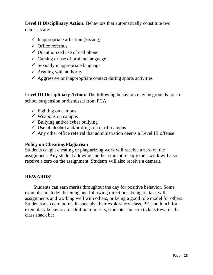#### **Level II Disciplinary Action:** Behaviors that automatically constitute two

demerits are:

- $\checkmark$  Inappropriate affection (kissing)
- $\checkmark$  Office referrals
- $\checkmark$  Unauthorized use of cell phone
- $\checkmark$  Cursing or use of profane language
- $\checkmark$  Sexually inappropriate language
- $\checkmark$  Arguing with authority
- $\checkmark$  Aggressive or inappropriate contact during sports activities

**Level III Disciplinary Action:** The following behaviors may be grounds for inschool suspension or dismissal from FCA:

- $\checkmark$  Fighting on campus
- $\checkmark$  Weapons on campus
- $\checkmark$  Bullying and/or cyber bullying
- $\checkmark$  Use of alcohol and/or drugs on or off campus
- $\checkmark$  Any other office referral that administration deems a Level III offense

#### **Policy on Cheating/Plagiarism**

Students caught cheating or plagiarizing work will receive a zero on the assignment. Any student allowing another student to copy their work will also receive a zero on the assignment. Students will also receive a demerit.

#### **REWARDS**!

 Students can earn merits throughout the day for positive behavior. Some examples include: listening and following directions, being on task with assignments and working well with others, or being a good role model for others. Students also earn points in specials, their exploratory class, PE, and lunch for exemplary behavior. In addition to merits, students can earn tickets towards the class snack bar.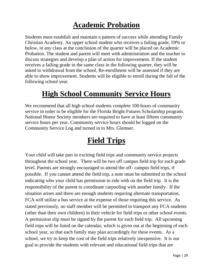### **Academic Probation**

Students must establish and maintain a pattern of success while attending Family Christian Academy. An upper school student who receives a failing grade, 59% or below, in any class at the conclusion of the quarter will be placed on Academic Probation. The student and parent will meet with administration and the teacher to discuss strategies and develop a plan of action for improvement. If the student receives a failing grade in the same class in the following quarter, they will be asked to withdrawal from the school. Re-enrollment will be assessed if they are able to show improvement. Students will be eligible to enroll during the fall of the following school year.

### **High School Community Service Hours**

We recommend that all high school students complete 100 hours of community service in order to be eligible for the Florida Bright Futures Scholarship program. National Honor Society members are required to have at least fifteen community service hours per year. Community service hours should be logged on the Community Service Log and turned in to Mrs. Glemser.

### **Field Trips**

Your child will take part in exciting field trips and community service projects throughout the school year. There will be two off campus field trip for each grade level. Parents are strongly encouraged to attend the off- campus field trips, if possible. If you cannot attend the field trip, a note must be submitted to the school indicating who your child has permission to ride with on the field trip. It is the responsibility of the parent to coordinate carpooling with another family. If the situation arises and there are enough students requiring alternate transportation, FCA will utilize a bus service at the expense of those requiring this service. As stated previously, no staff member will be permitted to transport any FCA students (other than their own children) in their vehicle for field trips or other school events. A permission slip must be signed by the parent for each field trip. All upcoming field trips will be listed on the calendar, which is given out at the beginning of each school year, so that each family may plan accordingly for these events. As a school, we try to keep the cost of the field trips relatively inexpensive. It is our goal to provide the students with relevant and educational field trips that are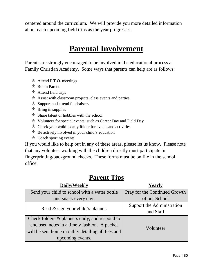centered around the curriculum. We will provide you more detailed information about each upcoming field trips as the year progresses.

### **Parental Involvement**

Parents are strongly encouraged to be involved in the educational process at Family Christian Academy. Some ways that parents can help are as follows:

- $\star$  Attend P.T.O. meetings
- Room Parent
- $\star$  Attend field trips
- $\star$  Assist with classroom projects, class events and parties
- $\star$  Support and attend fundraisers
- $\star$  Bring in supplies
- $\star$  Share talent or hobbies with the school
- $\star$  Volunteer for special events; such as Career Day and Field Day
- $\star$  Check your child's daily folder for events and activities
- $\star$  Be actively involved in your child's education
- $\star$  Coach sporting events

If you would like to help out in any of these areas, please let us know. Please note that any volunteer working with the children directly must participate in fingerprinting/background checks. These forms must be on file in the school office.

#### **Parent Tips**

| Daily/Weekly                                     | Yearly                        |  |
|--------------------------------------------------|-------------------------------|--|
| Send your child to school with a water bottle    | Pray for the Continued Growth |  |
| and snack every day.                             | of our School                 |  |
| Read & sign your child's planner.                | Support the Administration    |  |
|                                                  | and Staff                     |  |
| Check folders & planners daily, and respond to   |                               |  |
| enclosed notes in a timely fashion. A packet     | Volunteer                     |  |
| will be sent home monthly detailing all fees and |                               |  |
| upcoming events.                                 |                               |  |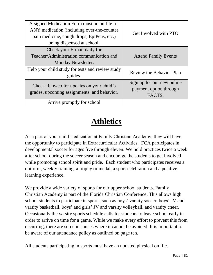| A signed Medication Form must be on file for<br>ANY medication (including over-the-counter<br>pain medicine, cough drops, EpiPens, etc.)<br>being dispensed at school. | Get Involved with PTO                                          |
|------------------------------------------------------------------------------------------------------------------------------------------------------------------------|----------------------------------------------------------------|
| Check your E-mail daily for<br>Teacher/Administration communication and<br>Monday Newsletter.                                                                          | <b>Attend Family Events</b>                                    |
| Help your child study for tests and review study<br>guides.                                                                                                            | <b>Review the Behavior Plan</b>                                |
| Check Renweb for updates on your child's<br>grades, upcoming assignments, and behavior.                                                                                | Sign up for our new online<br>payment option through<br>FACTS. |
| Arrive promptly for school                                                                                                                                             |                                                                |

### **Athletics**

As a part of your child's education at Family Christian Academy, they will have the opportunity to participate in Extracurricular Activities. FCA participates in developmental soccer for ages five through eleven. We hold practices twice a week after school during the soccer season and encourage the students to get involved while promoting school spirit and pride. Each student who participates receives a uniform, weekly training, a trophy or medal, a sport celebration and a positive learning experience.

We provide a wide variety of sports for our upper school students. Family Christian Academy is part of the Florida Christian Conference. This allows high school students to participate in sports, such as boys' varsity soccer, boys' JV and varsity basketball, boys' and girls' JV and varsity volleyball, and varsity cheer. Occasionally the varsity sports schedule calls for students to leave school early in order to arrive on time for a game. While we make every effort to prevent this from occurring, there are some instances where it cannot be avoided. It is important to be aware of our attendance policy as outlined on page ten.

All students participating in sports must have an updated physical on file.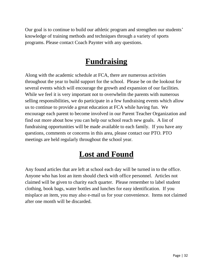Our goal is to continue to build our athletic program and strengthen our students' knowledge of training methods and techniques through a variety of sports programs. Please contact Coach Paynter with any questions.

### **Fundraising**

Along with the academic schedule at FCA, there are numerous activities throughout the year to build support for the school. Please be on the lookout for several events which will encourage the growth and expansion of our facilities. While we feel it is very important not to overwhelm the parents with numerous selling responsibilities, we do participate in a few fundraising events which allow us to continue to provide a great education at FCA while having fun. We encourage each parent to become involved in our Parent Teacher Organization and find out more about how you can help our school reach new goals. A list of fundraising opportunities will be made available to each family. If you have any questions, comments or concerns in this area, please contact our PTO. PTO meetings are held regularly throughout the school year.

# **Lost and Found**

Any found articles that are left at school each day will be turned in to the office. Anyone who has lost an item should check with office personnel. Articles not claimed will be given to charity each quarter. Please remember to label student clothing, book bags, water bottles and lunches for easy identification. If you misplace an item, you may also e-mail us for your convenience. Items not claimed after one month will be discarded.